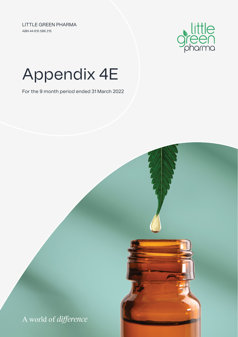ABN 44 615 586 215 LITTLE GREEN PHARMA



# Appendix 4E

For the 9 month period ended 31 March 2022

A world of *difference*

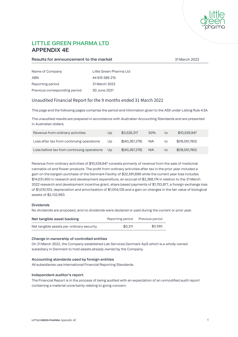

## **LITTLE GREEN PHARMA LTD APPENDIX 4E**

#### **Results for announcement to the market** 31 March 2022

| Name of Company               | Little Green Pharma Ltd |
|-------------------------------|-------------------------|
| ARN                           | 44 615 586 215          |
| Reporting period              | 31 March 2022           |
| Previous corresponding period | 30 June 2021            |

#### Unaudited Financial Report for the 9 months ended 31 March 2022

This page and the following pages comprise the period end information given to the ASX under Listing Rule 4.3A.

The unaudited results are prepared in accordance with Australian Accounting Standards and are presented in Australian dollars.

| Revenue from ordinary activities           | Up             | \$3,526,317      | 50% | to | \$10,529,947   |
|--------------------------------------------|----------------|------------------|-----|----|----------------|
| Loss after tax from continuing operations  | U <sub>D</sub> | \$(40, 267, 278) | N/A | to | \$(18,051,760) |
| Loss before tax from continuing operations | Up             | \$(40, 267, 278) | N/A | to | \$(18,051,760) |

Revenue from ordinary activities of \$10,529,947 consists primarily of revenue from the sale of medicinal cannabis oil and flower products. The profit from ordinary activities after tax in the prior year included a gain on the bargain purchase of the Denmark Facility of \$22,591,696 while the current year loss includes \$14,031,450 in research and development expenditure, an accrual of \$2,368,174 in relation to the 31 March 2022 research and development incentive grant, share based payments of \$1,753,877, a foreign exchange loss of \$1,010,103, depreciation and amortisation of \$1,004,135 and a gain on changes in the fair value of biological assets of \$2,132,993.

#### **Dividends**

No dividends are proposed, and no dividends were declared or paid during the current or prior year.

| Net tangible asset backing                | Reporting period | Previous period |
|-------------------------------------------|------------------|-----------------|
| Net tangible assets per ordinary security | \$0.311          | \$0.390         |

#### **Change in ownership of controlled entities**

On 21 March 2022, the Company established Lab Services Denmark ApS which is a wholly owned subsidiary in Denmark to hold assets already owned by the Company.

#### **Accounting standards used by foreign entities**

All subsidiaries use International Financial Reporting Standards.

#### **Independent auditor's report**

The Financial Report is in the process of being audited with an expectation of an unmodified audit report containing a material uncertainty relating to going concern.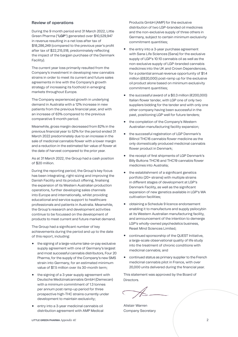#### **Review of operations**

During the 9 month period end 31 March 2022, Little Green Pharma ("**LGP**") generated over \$10,529,947 in revenue resulting in a net loss after tax of \$18,286,249 (compared to the previous year's profit after tax of \$22,215,518, predominately reflecting the impact of the bargain purchase of the Denmark Facility).

The current year loss primarily resulted from the Company's investment in developing new cannabis strains in order to meet its current and future sales agreements in line with the Company's growth strategy of increasing its foothold in emerging markets throughout Europe.

The Company experienced growth in underlying demand in Australia with a 12% increase in new patients from the previous financial year, and with an increase of 63% compared to the previous comparative 9 month period.

Meanwhile, gross margin decreased from 82% in the previous financial year to 52% for the period ended 31 March 2022 predominately due to an increase in the sale of medicinal cannabis flower with a lower margin and a reduction in the estimated fair value of flower at the date of harvest compared to the prior year.

As at 31 March 2022, the Group had a cash position of \$20 million.

During the reporting period, the Group's key focus has been integrating, right-sizing and improving the Danish Facility and its product offering, finalising the expansion of its Western Australian production operations, further developing sales channels into Europe and internationally, whilst providing educational and service support to healthcare professionals and patients in Australia. Meanwhile, the Group's research and development activities continue to be focussed on the development of products to meet current and future market demand.

The Group had a significant number of key achievements during the period and up to the date of this report, including:

- **•** the signing of a large-volume take-or-pay exclusive supply agreement with one of Germany's largest and most successful cannabis distributors, Four 20 Pharma, for the supply of the Company's new SMS strain into Germany, for an estimated minimum value of \$7.5 million over its 30-month term;
- the signing of a 3-year supply agreement with Deutsche Medizinalcannabis GmbH (Demecan) with a minimum commitment of 1.3 tonnes per annum post ramp-up period for three prospective high-THC strains currently under development to maintain exclusivity;
- **•** entry into a 3-year medicinal cannabis oil distribution agreement with AMP Medical

Products GmbH (AMP) for the exclusive distribution of two LGP-branded oil medicines and the non-exclusive supply of three others in Germany, subject to certain minimum exclusivity commitment quantities;

- **•** the entry into a 3-year purchase agreement with Sana Life Sciences (Sana) for the exclusive supply of LGP's 10:10 cannabis oil as well as the non-exclusive supply of LGP-branded cannabis medicines into the UK and Crown Dependences, for a potential annual revenue opportunity of \$1.4 million (£820,000) post-ramp up for the exclusive oil product alone based on minimum exclusivity commitment quantities;
- **•** the successful award of a \$0.3 million (€200,000) Italian flower tender, with LGP one of only two suppliers bidding for the tender and with only one other company having been successful in the past, positioning LGP well for future tenders;
- **•** the completion of the Company's Western Australian manufacturing facility expansion;
- **•** the successful registration of LGP Denmark's Billinol THC16 cannabis flower medicine as the only domestically produced medicinal cannabis flower product in Denmark;
- **•** the receipt of first shipments of LGP Denmark's Billy Buttons THC16 and THC19 cannabis flower medicines into Australia;
- **•** the establishment of a significant genetics portfolio (20+ strains) with multiple strains in different stages of development at LGP's Denmark Facility, as well as the significant expansion of new genetics available in LGP's WA cultivation facilities;
- **•** obtaining a Schedule 9 licence endorsement enabling it to manufacture and supply psilocybin at its Western Australian manufacturing facility, and announcement of the intention to demerge LGP's wholly-owned psychedelics business, Reset Mind Sciences Limited;
- **•** continued sponsorship of the QUEST Initiative, a large-scale observational quality of life study into the treatment of chronic conditions with medicinal cannabis; and
- **•** continued status as primary supplier to the French medicinal cannabis pilot in France, with over 20,000 units delivered during the financial year.

This statement was approved by the Board of Directors.

Alistair Warren Company Secretary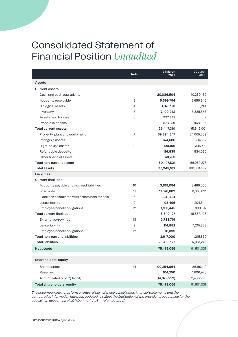## Consolidated Statement of Financial Position *Unaudited*

|                                                  | <b>Note</b> | 31 March<br>2022 | 30 June<br>2021 |
|--------------------------------------------------|-------------|------------------|-----------------|
| Assets                                           |             |                  |                 |
| <b>Current assets</b>                            |             |                  |                 |
| Cash and cash equivalents                        |             | 20,086,504       | 40,269,169      |
| Accounts receivable                              | 3           | 5,599,794        | 3,656,846       |
| Biological assets                                | 4           | 1,076,173        | 965,244         |
| Inventory                                        | 5           | 7,109,242        | 5,885,656       |
| Assets held for sale                             | 6           | 997,347          |                 |
| Prepaid expenses                                 |             | 578,301          | 868,086         |
| <b>Total current assets</b>                      |             | 35,447,361       | 51,645,001      |
| Property, plant and equipment                    | 7           | 59,394,347       | 54,065,269      |
| Intangible assets                                | 8           | 674,686          | 714,212         |
| Right-of-use assets                              | 9           | 190,196          | 1,345,710       |
| Refundable deposits                              |             | 197,839          | 834,085         |
| Other financial assets                           |             | 40,753           |                 |
| Total non-current assets                         |             | 60,497,821       | 56,959,276      |
| <b>Total assets</b>                              |             | 95,945,182       | 108,604,277     |
| Liabilities                                      |             |                  |                 |
| <b>Current liabilities</b>                       |             |                  |                 |
| Accounts payable and accrued liabilities         | 10          | 3,199,094        | 3,486,056       |
| Loan note                                        | 11          | 11,876,669       | 11,365,891      |
| Liabilities associated with assets held for sale | 6           | 241,424          |                 |
| Lease liability                                  | 9           | 98,495           | 204,644         |
| Employee benefit obligations                     | 12          | 1,133,445        | 830,817         |
| <b>Total current liabilities</b>                 |             | 16,549,127       | 15,887,408      |
| External borrowings                              | 13          | 3,783,719        |                 |
| Lease liability                                  | 9           | 114,882          | 1,215,832       |
| Employee benefit obligations                     | 12          | 18,399           |                 |
| <b>Total non-current liabilities</b>             |             | 3,917,000        | 1,215,832       |
| <b>Total liabilities</b>                         |             | 20,466,127       | 17,103,240      |
| <b>Net assets</b>                                |             | 75,479,055       | 91,501,037      |
| Shareholders' equity                             |             |                  |                 |
| Share capital                                    | 14          | 90,254,064       | 86,197,119      |
| Reserves                                         |             | 104,250          | 1,896,928       |
| Accumulated profit/(deficit)                     |             | (14, 879, 259)   | 3,406,990       |
| Total shareholders' equity                       |             | 75,479,055       | 91,501,037      |

*The accompanying notes form an integral part of these consolidated financial statements and the comparative information has been updated to reflect the finalisation of the provisional accounting for the acquisition accounting of LGP Denmark ApS. – refer to note 17.*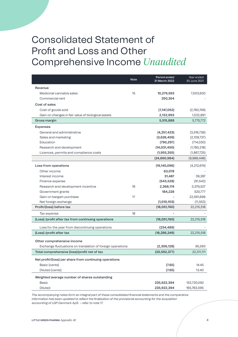## Consolidated Statement of Profit and Loss and Other Comprehensive Income *Unaudited*

|                                                            | <b>Note</b> | Period ended<br>31 March 2022 | Year ended<br>30 June 2021 |
|------------------------------------------------------------|-------------|-------------------------------|----------------------------|
| Revenue                                                    |             |                               |                            |
| Medicinal cannabis sales                                   | 15          | 10,279,593                    | 7,003,630                  |
| Commercial rent                                            |             | 250,354                       |                            |
| Cost of sales                                              |             |                               |                            |
| Cost of goods sold                                         |             | (7, 147, 052)                 | (2,760,749)                |
| Gain on changes in fair value of biological assets         |             | 2,132,993                     | 1,532,891                  |
| Gross margin                                               |             | 5,515,888                     | 5,775,772                  |
| <b>Expenses</b>                                            |             |                               |                            |
| General and administrative                                 |             | (4, 257, 423)                 | (3,516,736)                |
| Sales and marketing                                        |             | (3,626,459)                   | (2,109,737)                |
| Education                                                  |             | (790, 297)                    | (714, 030)                 |
| Research and development                                   |             | (14,031,450)                  | (1,780,218)                |
| Licences, permits and compliance costs                     |             | (1,955,355)                   | (1,867,725)                |
|                                                            |             | (24,660,984)                  | (9,988,446)                |
| Loss from operations                                       |             | (19, 145, 096)                | (4,212,674)                |
| Other income                                               |             | 63,078                        |                            |
| Interest income                                            |             | 31,487                        | 39,287                     |
| Finance expense                                            |             | (543, 528)                    | (91, 542)                  |
| Research and development incentive                         | 16          | 2,368,174                     | 3,379,527                  |
| Government grants                                          |             | 184,228                       | 520,777                    |
| Gain on bargain purchase                                   | 17          |                               | 22,591,696                 |
| Net foreign exchange                                       |             | (1,010,103)                   | (11, 553)                  |
| Profit/(loss) before tax                                   |             | (18,051,760)                  | 22,215,518                 |
| Tax expense                                                | 18          |                               |                            |
| (Loss) /profit after tax from continuing operations        |             | (18,051,760)                  | 22,215,518                 |
| Loss for the year from discontinuing operations            |             | (234, 489)                    |                            |
| (Loss) /profit after tax                                   |             | (18, 286, 249)                | 22,215,518                 |
| Other comprehensive income                                 |             |                               |                            |
| Exchange fluctuations on translation of foreign operations |             | (2,306,128)                   | 95,593                     |
| Total comprehensive (loss)/profit net of tax               |             | (20, 592, 377)                | 22,311,111                 |
| Net profit/(loss) per share from continuing operations     |             |                               |                            |
| Basic (cents)                                              |             | (7.65)                        | 14.45                      |
| Diluted (cents)                                            |             | (7.65)                        | 13.40                      |
| Weighted average number of shares outstanding              |             |                               |                            |
| <b>Basic</b>                                               |             | 235,922,394                   | 153,720,092                |
| Diluted                                                    |             | 235,922,394                   | 165,763,095                |

*The accompanying notes form an integral part of these consolidated financial statements and the comparative information has been updated to reflect the finalisation of the provisional accounting for the acquisition accounting of LGP Denmark ApS. – refer to note 17.*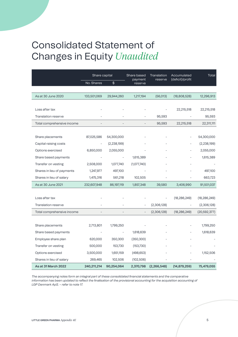## Consolidated Statement of Changes in Equity *Unaudited*

|                            | Share capital |               | Share based              | Translation   | Accumulated      | Total          |
|----------------------------|---------------|---------------|--------------------------|---------------|------------------|----------------|
|                            | No. Shares    | $\frac{4}{3}$ | payment<br>reserve       | reserve       | (deficit)/profit |                |
|                            |               |               |                          |               |                  |                |
| As at 30 June 2020         | 133,501,069   | 29,944,260    | 1,217,194                | (56, 013)     | (18,808,528)     | 12,296,913     |
|                            |               |               |                          |               |                  |                |
| Loss after tax             |               |               |                          |               | 22,215,518       | 22,215,518     |
| <b>Translation reserve</b> |               |               |                          | 95,593        |                  | 95,593         |
| Total comprehensive income |               |               |                          | 95,593        | 22,215,518       | 22,311,111     |
|                            |               |               |                          |               |                  |                |
| Share placements           | 87,025,586    | 54,300,000    |                          |               |                  | 54,300,000     |
| Capital raising costs      |               | (2, 238, 199) |                          |               |                  | (2, 238, 199)  |
| Options exercised          | 6,850,000     | 2,055,000     |                          |               |                  | 2,055,000      |
| Share based payments       |               |               | 1,615,389                |               |                  | 1,615,389      |
| Transfer on vesting        | 2,508,000     | 1,077,740     | (1,077,740)              |               |                  |                |
| Shares in lieu of payments | 1,247,977     | 497,100       |                          |               |                  | 497,100        |
| Shares in lieu of salary   | 1,475,316     | 561,218       | 102,505                  |               |                  | 663,723        |
| As at 30 June 2021         | 232,607,948   | 86,197,119    | 1,857,348                | 39,580        | 3,406,990        | 91,501,037     |
|                            |               |               |                          |               |                  |                |
| Loss after tax             |               |               |                          |               | (18, 286, 249)   | (18, 286, 249) |
| Translation reserve        |               |               |                          | (2,306,128)   |                  | (2,306,128)    |
| Total comprehensive income |               |               | $\overline{\phantom{a}}$ | (2,306,128)   | (18, 286, 249)   | (20, 592, 377) |
|                            |               |               |                          |               |                  |                |
| Share placements           | 2,713,801     | 1,799,250     |                          |               |                  | 1,799,250      |
| Share based payments       |               |               | 1,618,639                |               |                  | 1,618,639      |
| Employee share plan        | 620,000       | 350,300       | (350, 300)               |               |                  |                |
| Transfer on vesting        | 500,000       | 153,730       | (153, 730)               |               |                  |                |
| Options exercised          | 3,500,000     | 1,651,159     | (498, 653)               |               |                  | 1,152,506      |
| Shares in lieu of salary   | 269,465       | 102,506       | (102, 506)               |               |                  |                |
| As at 31 March 2022        | 240,211,214   | 90,254,064    | 2,370,798                | (2, 266, 548) | (14, 879, 259)   | 75,479,055     |

*The accompanying notes form an integral part of these consolidated financial statements and the comparative information has been updated to reflect the finalisation of the provisional accounting for the acquisition accounting of LGP Denmark ApS. – refer to note 17.*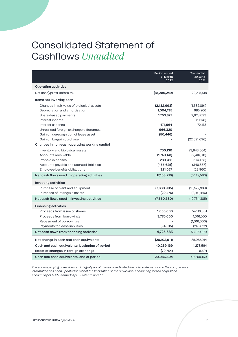## Consolidated Statement of Cashflows *Unaudited*

|                                                | Period ended<br>31 March<br>2022 | Year ended<br>30 June<br>2021 |
|------------------------------------------------|----------------------------------|-------------------------------|
| <b>Operating activities</b>                    |                                  |                               |
| Net (loss)/profit before tax                   | (18, 286, 249)                   | 22,215,518                    |
| Items not involving cash                       |                                  |                               |
| Changes in fair value of biological assets     | (2, 132, 993)                    | (1,532,891)                   |
| Depreciation and amortisation                  | 1,004,135                        | 685,266                       |
| Share-based payments                           | 1,753,877                        | 2,823,093                     |
| Interest income                                |                                  | (11, 178)                     |
| Interest expense                               | 471,964                          | 72,173                        |
| Unrealised foreign exchange differences        | 966,320                          |                               |
| Gain on derecognition of lease asset           | (50, 446)                        |                               |
| Gain on bargain purchase                       |                                  | (22,591,696)                  |
| Changes in non-cash operating working capital  |                                  |                               |
| Inventory and biological assets                | 700,130                          | (3,843,564)                   |
| Accounts receivable                            | (1,740,141)                      | (2,416,011)                   |
| Prepaid expenses                               | 289,785                          | (174, 463)                    |
| Accounts payable and accrued liabilities       | (465, 625)                       | (346, 867)                    |
| Employee benefits obligations                  | 321,027                          | (28,960)                      |
| Net cash flows used in operating activities    | (17, 168, 216)                   | (5, 149, 580)                 |
| Investing activities                           |                                  |                               |
| Purchase of plant and equipment                | (7,630,905)                      | (10, 572, 939)                |
| Purchase of intangible assets                  | (29, 475)                        | (2,161,446)                   |
| Net cash flows used in investing activities    | (7,660,380)                      | (12, 734, 385)                |
| <b>Financing activities</b>                    |                                  |                               |
| Proceeds from issue of shares                  | 1,050,000                        | 54,116,801                    |
| Proceeds from borrowings                       | 3,770,000                        | 1,016,000                     |
| Repayment of borrowings                        |                                  | (1,016,000)                   |
| Payments for lease liabilities                 | (94, 315)                        | (245, 822)                    |
| Net cash flows from financing activities       | 4,725,685                        | 53,870,979                    |
| Net change in cash and cash equivalents        | (20,102,911)                     | 35,987,014                    |
| Cash and cash equivalents, beginning of period | 40,269,169                       | 4,273,564                     |
| Effect of changes in foreign exchange          | (79, 754)                        | 8,591                         |
| Cash and cash equivalents, end of period       | 20,086,504                       | 40,269,169                    |

*The accompanying notes form an integral part of these consolidated financial statements and the comparative information has been updated to reflect the finalisation of the provisional accounting for the acquisition accounting of LGP Denmark ApS. – refer to note 17.*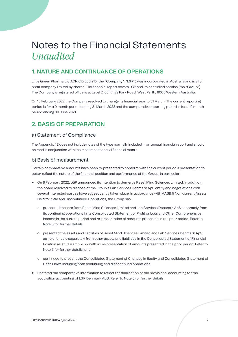## **1. NATURE AND CONTINUANCE OF OPERATIONS**

Little Green Pharma Ltd ACN 615 586 215 (the "**Company**", "**LGP**") was incorporated in Australia and is a for profit company limited by shares. The financial report covers LGP and its controlled entities (the "**Group**"). The Company's registered office is at Level 2, 66 Kings Park Road, West Perth, 6005 Western Australia.

On 15 February 2022 the Company resolved to change its financial year to 31 March. The current reporting period is for a 9 month period ending 31 March 2022 and the comparative reporting period is for a 12 month period ending 30 June 2021.

## **2. BASIS OF PREPARATION**

#### a) Statement of Compliance

The Appendix 4E does not include notes of the type normally included in an annual financial report and should be read in conjunction with the most recent annual financial report.

#### b) Basis of measurement

Certain comparative amounts have been re-presented to conform with the current period's presentation to better reflect the nature of the financial position and performance of the Group, in particular:

- **•** On 8 February 2022, LGP announced its intention to demerge Reset Mind Sciences Limited. In addition, the board resolved to dispose of the Group's Lab Services Denmark ApS entity and negotiations with several interested parties have subsequently taken place. In accordance with AASB 5 Non-current Assets Held for Sale and Discontinued Operations, the Group has:
	- o presented the loss from Reset Mind Sciences Limited and Lab Services Denmark ApS separately from its continuing operations in its Consolidated Statement of Profit or Loss and Other Comprehensive Income in the current period and re-presentation of amounts presented in the prior period. Refer to Note 6 for further details;
	- o presented the assets and liabilities of Reset Mind Sciences Limited and Lab Services Denmark ApS as held for sale separately from other assets and liabilities in the Consolidated Statement of Financial Position as at 31 March 2022 with no re-presentation of amounts presented in the prior period. Refer to Note 6 for further details; and
	- o continued to present the Consolidated Statement of Changes in Equity and Consolidated Statement of Cash Flows including both continuing and discontinued operations.
- **•** Restated the comparative information to reflect the finalisation of the provisional accounting for the acquisition accounting of LGP Denmark ApS. Refer to Note 6 for further details.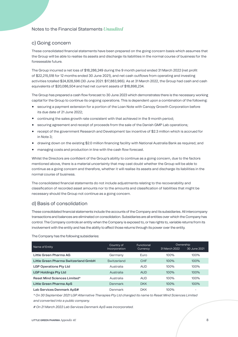#### c) Going concern

These consolidated financial statements have been prepared on the going concern basis which assumes that the Group will be able to realise its assets and discharge its liabilities in the normal course of business for the foreseeable future.

The Group incurred a net loss of \$18,286,249 during the 9 month period ended 31 March 2022 (net profit of \$22,215,518 for 12 months ended 30 June 2021), and net cash outflows from operating and investing activities totalled \$24,828,596 (30 June 2021: \$17,883,965). As at 31 March 2022, the Group had cash and cash equivalents of \$20,086,504 and had net current assets of \$18,898,234.

The Group has prepared a cash flow forecast to 30 June 2023 which demonstrates there is the necessary working capital for the Group to continue its ongoing operations. This is dependent upon a combination of the following:

- **•** securing a payment extension for a portion of the Loan Note with Canopy Growth Corporation before its due date of 21 June 2022;
- **•** continuing the sales growth rate consistent with that achieved in the 9 month period;
- **•** securing agreement and receipt of proceeds from the sale of the Danish GMP Lab operations;
- **•** receipt of the government Research and Development tax incentive of \$2.3 million which is accrued for in Note 3;
- **•** drawing down on the existing \$2.0 million financing facility with National Australia Bank as required; and
- **•** managing costs and production in line with the cash flow forecast.

Whilst the Directors are confident of the Group's ability to continue as a going concern, due to the factors mentioned above, there is a material uncertainty that may cast doubt whether the Group will be able to continue as a going concern and therefore, whether it will realise its assets and discharge its liabilities in the normal course of business.

The consolidated financial statements do not include adjustments relating to the recoverability and classification of recorded asset amounts nor to the amounts and classification of liabilities that might be necessary should the Group not continue as a going concern.

#### d) Basis of consolidation

These consolidated financial statements include the accounts of the Company and its subsidiaries. All intercompany transactions and balances are eliminated on consolidation. Subsidiaries are all entities over which the Company has control. The Company controls an entity when the Company is exposed to, or has rights to, variable returns from its involvement with the entity and has the ability to affect those returns through its power over the entity.

The Company has the following subsidiaries:

| Name of Entity                       | Country of<br>Incorporation | Functional<br>Currency | Ownership<br>31 March 2022 | 30 June 2021 |
|--------------------------------------|-----------------------------|------------------------|----------------------------|--------------|
| Little Green Pharma AG               | Germany                     | Euro                   | 100%                       | 100%         |
| Little Green Pharma Switzerland GmbH | Switzerland                 | <b>CHF</b>             | 100%                       | 100%         |
| <b>LGP Operations Pty Ltd</b>        | Australia                   | <b>AUD</b>             | 100%                       | 100%         |
| <b>LGP Holdings Pty Ltd</b>          | Australia                   | <b>AUD</b>             | 100%                       | 100%         |
| <b>Reset Mind Sciences Limited*</b>  | Australia                   | <b>AUD</b>             | 100%                       | 100%         |
| Little Green Pharma ApS              | Denmark                     | <b>DKK</b>             | 100%                       | 100%         |
| Lab Services Denmark ApS#            | Denmark                     | <b>DKK</b>             | $100\%$                    | -            |

*\* On 30 September 2021 LGP Alternative Therapies Pty Ltd changed its name to Reset Mind Sciences Limited and converted into a public company.*

*# On 21 March 2022 Lab Services Denmark ApS was incorporated.*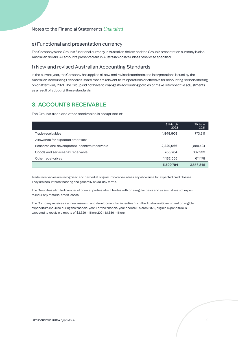#### e) Functional and presentation currency

The Company's and Group's functional currency is Australian dollars and the Group's presentation currency is also Australian dollars. All amounts presented are in Australian dollars unless otherwise specified.

#### f) New and revised Australian Accounting Standards

In the current year, the Company has applied all new and revised standards and interpretations issued by the Australian Accounting Standards Board that are relevant to its operations or effective for accounting periods starting on or after 1 July 2021. The Group did not have to change its accounting policies or make retrospective adjustments as a result of adopting these standards.

## **3. ACCOUNTS RECEIVABLE**

The Group's trade and other receivables is comprised of:

|                                               | 31 March<br>2022 | 30 June<br>2021 |
|-----------------------------------------------|------------------|-----------------|
| Trade receivables                             | 1,849,909        | 773,311         |
| Allowance for expected credit loss            | -                |                 |
| Research and development incentive receivable | 2,329,066        | 1,889,424       |
| Goods and services tax receivable             | 288,264          | 382,933         |
| Other receivables                             | 1,132,555        | 611,178         |
|                                               | 5,599,794        | 3,656,846       |

Trade receivables are recognised and carried at original invoice value less any allowance for expected credit losses. They are non-interest bearing and generally on 30-day terms.

The Group has a limited number of counter parties who it trades with on a regular basis and as such does not expect to incur any material credit losses.

The Company receives a annual research and development tax incentive from the Australian Government on eligible expenditure incurred during the financial year. For the financial year ended 31 March 2022, eligible expenditure is expected to result in a rebate of \$2.329 million (2021: \$1.889 million).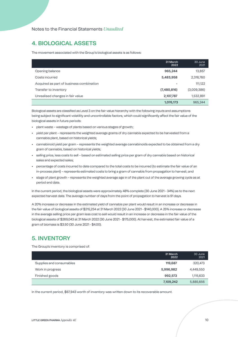## **4. BIOLOGICAL ASSETS**

The movement associated with the Group's biological assets is as follows:

|                                          | 31 March<br>2022 | 30 June<br>2021 |
|------------------------------------------|------------------|-----------------|
| Opening balance                          | 965,244          | 13,857          |
| Costs incurred                           | 5,483,958        | 2,316,760       |
| Acquired as part of business combination | -                | 111,122         |
| Transfer to inventory                    | (7,480,816)      | (3,009,386)     |
| Unrealised changes in fair value         | 2,107,787        | 1,532,891       |
|                                          | 1,076,173        | 965,244         |

Biological assets are classified as Level 3 on the fair value hierarchy with the following inputs and assumptions being subject to significant volatility and uncontrollable factors, which could significantly affect the fair value of the biological assets in future periods:

- **•** plant waste wastage of plants based on various stages of growth;
- **•** yield per plant represents the weighted average grams of dry cannabis expected to be harvested from a cannabis plant, based on historical yields;
- **•** cannabinoid yield per gram represents the weighted average cannabinoids expected to be obtained from a dry gram of cannabis, based on historical yields;
- **•** selling price, less costs to sell based on estimated selling price per gram of dry cannabis based on historical sales and expected sales;
- **•** percentage of costs incurred to date compared to the total costs to be incurred (to estimate the fair value of an in-process plant) – represents estimated costs to bring a gram of cannabis from propagation to harvest; and
- **•** stage of plant growth represents the weighted average age in of the plant out of the average growing cycle as at period end date.

In the current period, the biological assets were approximately 48% complete (30 June 2021 - 34%) as to the next expected harvest date. The average number of days from the point of propagation to harvest is 91 days.

A 20% increase or decrease in the estimated yield of cannabis per plant would result in an increase or decrease in the fair value of biological assets of \$215,234 at 31 March 2022 (30 June 2021 - \$140,000). A 25% increase or decrease in the average selling price per gram less cost to sell would result in an increase or decrease in the fair value of the biological assets of \$269,043 at 31 March 2022 (30 June 2021 - \$175,000). At harvest, the estimated fair value of a gram of biomass is \$3.50 (30 June 2021 - \$4.00).

## **5. INVENTORY**

The Group's inventory is comprised of:

|                          | 31 March<br>2022 | 30 June<br>2021 |
|--------------------------|------------------|-----------------|
| Supplies and consumables | 119,687          | 320,473         |
| Work in progress         | 5,996,982        | 4,449,550       |
| Finished goods           | 992,573          | 1,115,633       |
|                          | 7,109,242        | 5,885,656       |

In the current period, \$67,943 worth of inventory was written down to its recoverable amount.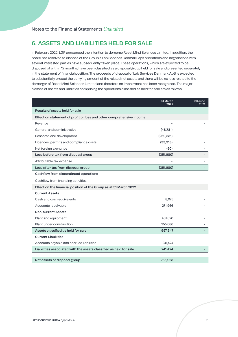## **6. ASSETS AND LIABILITIES HELD FOR SALE**

In February 2022, LGP announced the intention to demerge Reset Mind Sciences Limited. In addition, the board has resolved to dispose of the Group's Lab Services Denmark Aps operations and negotiations with several interested parties have subsequently taken place. These operations, which are expected to be disposed of within 12 months, have been classified as a disposal group held for sale and presented separately in the statement of financial position. The proceeds of disposal of Lab Services Denmark ApS is expected to substantially exceed the carrying amount of the related net assets and there will be no loss related to the demerger of Reset Mind Sciences Limited and therefore no impairment has been recognised. The major classes of assets and liabilities comprising the operations classified as held for sale are as follows:

|                                                                      | 31 March<br>2022 | 30 June<br>2021 |
|----------------------------------------------------------------------|------------------|-----------------|
| Results of assets held for sale                                      |                  |                 |
| Effect on statement of profit or loss and other comprehensive income |                  |                 |
| Revenue                                                              |                  |                 |
| General and administrative                                           | (48, 781)        |                 |
| Research and development                                             | (269, 531)       |                 |
| Licences, permits and compliance costs                               | (33, 318)        |                 |
| Net foreign exchange                                                 | (50)             |                 |
| Loss before tax from disposal group                                  | (351,680)        |                 |
| Attributable tax expense                                             |                  |                 |
| Loss after tax from disposal group                                   | (351,680)        |                 |
| Cashflow from discontinued operations                                |                  |                 |
| Cashflow from financing activities                                   |                  |                 |
| Effect on the financial position of the Group as at 31 March 2022    |                  |                 |
| <b>Current Assets</b>                                                |                  |                 |
| Cash and cash equivalents                                            | 8,075            |                 |
| Accounts receivable                                                  | 271,966          |                 |
| <b>Non-current Assets</b>                                            |                  |                 |
| Plant and equipment                                                  | 461,620          |                 |
| Plant under construction                                             | 255,686          |                 |
| Assets classified as held for sale                                   | 997,347          |                 |
| <b>Current Liabilities</b>                                           |                  |                 |
| Accounts payable and accrued liabilities                             | 241,424          |                 |
| Liabilities associated with the assets classified as held for sale   | 241,424          |                 |
|                                                                      |                  |                 |
| Net assets of disposal group                                         | 755,923          |                 |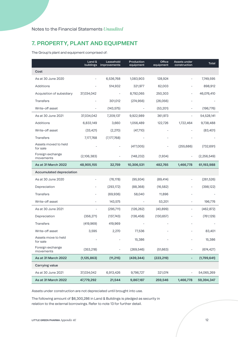## **7. PROPERTY, PLANT AND EQUIPMENT**

The Group's plant and equipment comprised of:

|                                  | Land &<br>buildings | Leasehold<br>improvements | Production<br>equipment | Office<br>equipment      | Assets under<br>construction | Total         |
|----------------------------------|---------------------|---------------------------|-------------------------|--------------------------|------------------------------|---------------|
| Cost                             |                     |                           |                         |                          |                              |               |
| As at 30 June 2020               | ÷                   | 6,536,768                 | 1,083,903               | 128,924                  |                              | 7,749,595     |
| Additions                        |                     | 514,932                   | 321,977                 | 62,003                   |                              | 898,912       |
| Acquisition of subsidiary        | 37,034,042          | $\overline{\phantom{m}}$  | 8,792,065               | 250,303                  |                              | 46,076,410    |
| <b>Transfers</b>                 |                     | 301,012                   | (274, 956)              | (26,056)                 |                              |               |
| Write-off asset                  | ÷                   | (143, 575)                |                         | (53, 201)                |                              | (196, 776)    |
| As at 30 June 2021               | 37,034,042          | 7,209,137                 | 9,922,989               | 361,973                  |                              | 54,528,141    |
| Additions                        | 6,833,149           | 3,660                     | 1,056,489               | 122,726                  | 1,722,464                    | 9,738,488     |
| Write-off asset                  | (33, 421)           | (2,270)                   | (47, 710)               |                          |                              | (83, 401)     |
| Transfers                        | 7,177,768           | (7,177,768)               |                         |                          |                              |               |
| Assets moved to held<br>for sale |                     |                           | (477,005)               | $\overline{\phantom{0}}$ | (255, 686)                   | (732, 691)    |
| Foreign exchange<br>movements    | (2,106,383)         |                           | (148, 232)              | (1,934)                  | $\qquad \qquad \blacksquare$ | (2, 256, 549) |
| As at 31 March 2022              | 48,905,155          | 32,759                    | 10,306,531              | 482,765                  | 1,466,778                    | 61,193,988    |
| Accumulated depreciation         |                     |                           |                         |                          |                              |               |
| As at 30 June 2020               |                     | (76, 178)                 | (95, 934)               | (89, 414)                | -                            | (261, 526)    |
| Depreciation                     |                     | (293, 172)                | (88, 368)               | (16, 582)                |                              | (398, 122)    |
| <b>Transfers</b>                 |                     | (69,936)                  | 58,040                  | 11,896                   |                              |               |
| Write-off asset                  |                     | 143,575                   |                         | 53,201                   |                              | 196,776       |
| As at 30 June 2021               |                     | (295, 711)                | (126, 262)              | (40, 899)                | -                            | (462, 872)    |
| Depreciation                     | (356, 271)          | (137, 743)                | (136, 458)              | (130, 657)               |                              | (761, 129)    |
| <b>Transfers</b>                 | (419, 969)          | 419,969                   |                         |                          |                              |               |
| Write-off asset                  | 3,595               | 2,270                     | 77,536                  |                          |                              | 83,401        |
| Assets move to held<br>for sale  |                     |                           | 15,386                  |                          |                              | 15,386        |
| Foreign exchange<br>movements    | (353, 218)          |                           | (269, 546)              | (51,663)                 |                              | (674, 427)    |
| As at 31 March 2022              | (1, 125, 863)       | (11, 215)                 | (439, 344)              | (223, 219)               |                              | (1,799,641)   |
| Carrying value                   |                     |                           |                         |                          |                              |               |
| As at 30 June 2021               | 37,034,042          | 6,913,426                 | 9,796,727               | 321,074                  |                              | 54,065,269    |
| As at 31 March 2022              | 47,779,292          | 21,544                    | 9,867,187               | 259,546                  | 1,466,778                    | 59,394,347    |

Assets under construction are not depreciated until brought into use.

The following amount of \$6,300,286 in Land & Buildings is pledged as security in relation to the external borrowings. Refer to note 13 for further detail.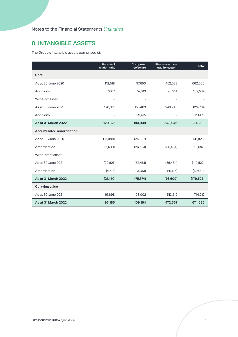## **8. INTANGIBLE ASSETS**

The Group's intangible assets comprised of:

|                          | Patents &<br>trademarks | Computer<br>software | Pharmaceutical<br>quality system | <b>Total</b> |
|--------------------------|-------------------------|----------------------|----------------------------------|--------------|
| Cost                     |                         |                      |                                  |              |
| As at 30 June 2020       | 112,518                 | 97,650               | 452,032                          | 662,200      |
| Additions                | 7,807                   | 57,813               | 96,914                           | 162,534      |
| Write-off asset          |                         |                      |                                  |              |
| As at 30 June 2021       | 120,325                 | 155,463              | 548,946                          | 824,734      |
| Additions                |                         | 29,475               |                                  | 29,475       |
| As at 31 March 2022      | 120,325                 | 184,938              | 548,946                          | 854,209      |
| Accumulated amortisation |                         |                      |                                  |              |
| As at 30 June 2020       | (15,988)                | (25, 837)            |                                  | (41, 825)    |
| Amortisation             | (6,639)                 | (26, 624)            | (35, 434)                        | (68, 697)    |
| Write-off of asset       |                         |                      |                                  |              |
| As at 30 June 2021       | (22, 627)               | (52, 461)            | (35, 434)                        | (110, 522)   |
| Amortisation             | (4, 513)                | (23, 313)            | (41, 175)                        | (69,001)     |
| As at 31 March 2022      | (27, 140)               | (75, 774)            | (76, 609)                        | (179, 523)   |
| <b>Carrying value</b>    |                         |                      |                                  |              |
| As at 30 June 2021       | 97,698                  | 103,002              | 513,512                          | 714,212      |
| As at 31 March 2022      | 93,185                  | 109,164              | 472,337                          | 674,686      |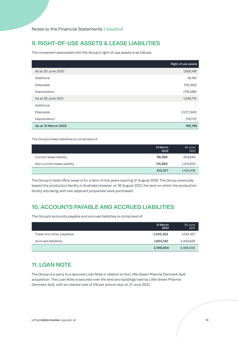## **9. RIGHT-OF-USE ASSETS & LEASE LIABILITIES**

The movement associated with the Group's right-of-use assets is as follows:

|                     | Right of use assets |
|---------------------|---------------------|
| As at 30 June 2020  | 1,655,148           |
| Additions           | 18,740              |
| Disposals           | (151, 592)          |
| Depreciation        | (176, 586)          |
| As at 30 June 2021  | 1,345,710           |
| Additions           |                     |
| Disposals           | (1,077,342)         |
| Depreciation        | (78, 172)           |
| As at 31 March 2022 | 190,196             |

The Group's lease liabilities is comprised of:

|                             | 31 March<br>2022 | 30 June<br>2021 |
|-----------------------------|------------------|-----------------|
| Current lease liability     | 98,495           | 204,644         |
| Non-current lease liability | 114,882          | 1,215,832       |
|                             | 213,377          | 1,420,476       |

The Group's head office lease is for a term of five years expiring 31 August 2024. The Group previously leased the production facility in Australia however on 16 August 2021, the land on which the production facility sits along with two adjacent properties were purchased.

## **10. ACCOUNTS PAYABLE AND ACCRUED LIABILITIES**

The Group's accounts payable and accrued liabilities is comprised of:

|                          | 31 March<br>2022 | 30 June<br>2021 |
|--------------------------|------------------|-----------------|
| Trade and other payables | 1,545,352        | 1,042,427       |
| Accrued liabilities      | 1,653,742        | 2,443,629       |
|                          | 3,199,094        | 3,486,056       |

## **11. LOAN NOTE**

The Group is a party to a secured Loan Note in relation to the Little Green Pharma Denmark ApS acquisition. The Loan Note is secured over the land and buildings held by Little Green Pharma Denmark ApS, with an interest rate of 5% per annum due on 21 June 2022.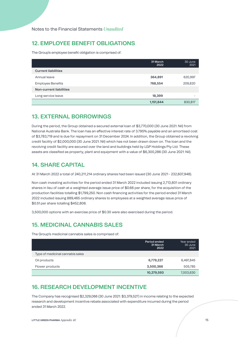## **12. EMPLOYEE BENEFIT OBLIGATIONS**

The Group's employee benefit obligation is comprised of:

|                            | 31 March<br>2022 | 30 June<br>2021 |
|----------------------------|------------------|-----------------|
| <b>Current liabilities</b> |                  |                 |
| Annual leave               | 364,891          | 620,997         |
| <b>Employee Benefits</b>   | 768,554          | 209,820         |
| Non-current liabilities    |                  |                 |
| Long service leave         | 18,399           |                 |
|                            | 1,151,844        | 830,817         |

## **13. EXTERNAL BORROWINGS**

During the period, the Group obtained a secured external loan of \$3,770,000 (30 June 2021: Nil) from National Australia Bank. The loan has an effective interest rate of 3.795% payable and an amortised cost of \$3,783,719 and is due for repayment on 31 December 2024. In addition, the Group obtained a revolving credit facility of \$2,000,000 (30 June 2021: Nil) which has not been drawn down on. The loan and the revolving credit facility are secured over the land and buildings held by LGP Holdings Pty Ltd. These assets are classified as property, plant and equipment with a value of \$6,300,286 (30 June 2021: Nil).

## **14. SHARE CAPITAL**

At 31 March 2022 a total of 240,211,214 ordinary shares had been issued (30 June 2021 - 232,607,948).

Non cash investing activities for the period ended 31 March 2022 included issuing 2,713,801 ordinary shares in lieu of cash at a weighted average issue price of \$0.66 per share, for the acquisition of the production facilities totalling \$1,799,250. Non cash financing activities for the period ended 31 March 2022 included issuing 889,465 ordinary shares to employees at a weighted average issue price of \$0.51 per share totalling \$452,806.

3,500,000 options with an exercise price of \$0.30 were also exercised during the period.

## **15. MEDICINAL CANNABIS SALES**

The Group's medicinal cannabis sales is comprised of:

|                                  | Period ended<br>31 March<br>2022 | Year ended<br>30 June<br>2021 |
|----------------------------------|----------------------------------|-------------------------------|
| Type of medicinal cannabis sales |                                  |                               |
| Oil products                     | 6,779,227                        | 6,497,845                     |
| Flower products                  | 3,500,366                        | 505,785                       |
|                                  | 10,279,593                       | 7,003,630                     |

#### **16. RESEARCH DEVELOPMENT INCENTIVE**

The Company has recognised \$2,329,066 (30 June 2021: \$3,379,527) in income relating to the expected research and development incentive rebate associated with expenditure incurred during the period ended 31 March 2022.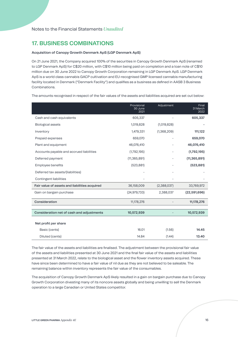#### **17. BUSINESS COMBINATIONS**

#### **Acquisition of Canopy Growth Denmark ApS (LGP Denmark ApS)**

On 21 June 2021, the Company acquired 100% of the securities in Canopy Growth Denmark ApS (renamed to LGP Denmark ApS) for C\$20 million, with C\$10 million being paid on completion and a loan note of C\$10 million due on 30 June 2022 to Canopy Growth Corporation remaining in LGP Denmark ApS. LGP Denmark ApS is a world class cannabis GACP cultivation and EU-recognised GMP licensed cannabis manufacturing facility located in Denmark ("Denmark Facility") and qualifies as a business as defined in AASB 3 Business Combinations.

The amounts recognised in respect of the fair values of the assets and liabilities acquired are set out below:

|                                               | Provisional<br>30 June<br>2021 | Adjustment  | Final<br>31 March<br>2022 |
|-----------------------------------------------|--------------------------------|-------------|---------------------------|
| Cash and cash equivalents                     | 605,337                        |             | 605,337                   |
| Biological assets                             | 1,019,828                      | (1,019,828) |                           |
| Inventory                                     | 1,479,331                      | (1,368,209) | 111,122                   |
| Prepaid expenses                              | 659,070                        |             | 659,070                   |
| Plant and equipment                           | 46,076,410                     |             | 46,076,410                |
| Accounts payable and accrued liabilities      | (1,792,195)                    |             | (1,792,195)               |
| Deferred payment                              | (11, 365, 891)                 |             | (11, 365, 891)            |
| Employee benefits                             | (523, 881)                     |             | (523, 881)                |
| Deferred tax assets/(liabilities)             |                                |             |                           |
| Contingent liabilities                        |                                |             |                           |
| Fair value of assets and liabilities acquired | 36,158,009                     | (2,388,037) | 33,769,972                |
| Gain on bargain purchase                      | (24, 979, 733)                 | 2,388,037   | (22, 591, 696)            |
| Consideration                                 | 11,178,276                     |             | 11,178,276                |
|                                               |                                |             |                           |
| Consideration net of cash and adjustments     | 10,572,939                     |             | 10,572,939                |
| Net profit per share                          |                                |             |                           |
| Basic (cents)                                 | 16.01                          | (1.56)      | 14.45                     |
| Diluted (cents)                               | 14.84                          | (1.44)      | 13.40                     |

The fair value of the assets and liabilities are finalised. The adjustment between the provisional fair value of the assets and liabilities presented at 30 June 2021 and the final fair value of the assets and liabilities presented at 31 March 2022, relate to the biological asset and the flower inventory assets acquired. These have since been determined to have a fair value of nil due as they are not believed to be saleable. The remaining balance within inventory represents the fair value of the consumables.

The acquisition of Canopy Growth Denmark ApS likely resulted in a gain on bargain purchase due to Canopy Growth Corporation divesting many of its noncore assets globally and being unwilling to sell the Denmark operation to a large Canadian or United States competitor.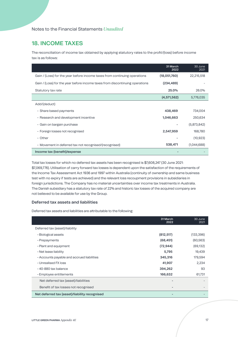### **18. INCOME TAXES**

The reconciliation of income tax obtained by applying statutory rates to the profit/(loss) before income tax is as follows:

|                                                                              | 31 March<br>2022 | 30 June<br>2021 |
|------------------------------------------------------------------------------|------------------|-----------------|
| Gain / (Loss) for the year before income taxes from continuing operations    | (18,051,760)     | 22,215,518      |
| Gain / (Loss) for the year before income taxes from discontinuing operations | (234, 489)       |                 |
| Statutory tax rate                                                           | 25.0%            | 26.0%           |
|                                                                              | (4, 571, 562)    | 5,776,035       |
| Add/(deduct)                                                                 |                  |                 |
| • Share based payments                                                       | 438,469          | 734,004         |
| • Research and development incentive                                         | 1,046,663        | 250,634         |
| • Gain on bargain purchase                                                   |                  | (5,873,842)     |
| • Foreign losses not recognised                                              | 2,547,959        | 168,780         |
| • Other                                                                      |                  | (10, 923)       |
| • Movement in deferred tax not recognised/(recognised)                       | 538,471          | (1,044,688)     |
| Income tax (benefit)/expense                                                 |                  |                 |

Total tax losses for which no deferred tax assets has been recognised is \$7,608,247 (30 June 2021: \$7,069,776). Utilisation of carry forward tax losses is dependent upon the satisfaction of the requirements of the Income Tax Assessment Act 1936 and 1997 within Australia (continuity of ownership and same business test with no expiry if tests are achieved) and the relevant loss recoupment provisions in subsidiaries in foreign jurisdictions. The Company has no material uncertainties over income tax treatments in Australia. The Danish subsidiary has a statutory tax rate of 22% and historic tax losses of the acquired company are not believed to be available for use by the Group.

#### **Deferred tax assets and liabilities**

Deferred tax assets and liabilities are attributable to the following:

|                                               | 31 March<br>2022 | 30 June<br>2021 |
|-----------------------------------------------|------------------|-----------------|
| Deferred tax (asset)/liability                |                  |                 |
| · Biological assets                           | (812, 517)       | (133, 396)      |
| • Prepayments                                 | (68, 451)        | (60, 563)       |
| • Plant and equipment                         | (72, 944)        | (69, 132)       |
| $\cdot$ Net lease liability                   | 5,795            | 19,439          |
| • Accounts payable and accrued liabilities    | 345,316          | 179,594         |
| • Unrealised FX loss                          | 41,907           | 2,234           |
| $\cdot$ 40-880 tax balance                    | 394,262          | 93              |
| $\cdot$ Employee entitlements                 | 166,632          | 61,731          |
| Net deferred tax (asset)/liabilities          |                  |                 |
| Benefit of tax losses not recognised          |                  |                 |
| Net deferred tax (asset)/liability recognised |                  |                 |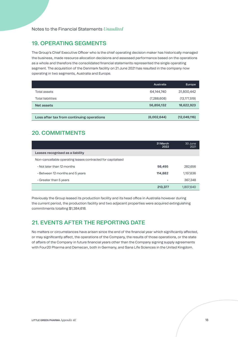## **19. OPERATING SEGMENTS**

The Group's Chief Executive Officer who is the chief operating decision maker has historically managed the business, made resource allocation decisions and assessed performance based on the operations as a whole and therefore the consolidated financial statements represented the single operating segment. The acquisition of the Denmark facility on 21 June 2021 has resulted in the company now operating in two segments, Australia and Europe.

|                                           | Australia   | Europe         |
|-------------------------------------------|-------------|----------------|
| Total assets                              | 64,144,740  | 31,800,442     |
| Total liabilities                         | (7,288,608) | (13, 177, 519) |
| Net assets                                | 56,856,132  | 18,622,923     |
|                                           |             |                |
| Loss after tax from continuing operations | (6,002,644) | (12,049,116)   |

## **20. COMMITMENTS**

|                                                             | 31 March<br>2022         | 30 June<br>2021 |
|-------------------------------------------------------------|--------------------------|-----------------|
| Leases recognised as a liability                            |                          |                 |
| Non-cancellable operating leases contracted for capitalised |                          |                 |
| . Not later than 12 months                                  | 98,495                   | 282,656         |
| • Between 12 months and 5 years                             | 114,882                  | 1,157,636       |
| $\cdot$ Greater than 5 years                                | $\overline{\phantom{0}}$ | 367,348         |
|                                                             | 213,377                  | 1,807,640       |

Previously the Group leased its production facility and its head office in Australia however during the current period, the production facility and two adjacent properties were acquired extinguishing commitments totalling \$1,384,618.

## **21. EVENTS AFTER THE REPORTING DATE**

No matters or circumstances have arisen since the end of the financial year which significantly affected, or may significantly affect, the operations of the Company, the results of those operations, or the state of affairs of the Company in future financial years other than the Company signing supply agreements with Four20 Pharma and Demecan, both in Germany, and Sana Life Sciences in the United Kingdom.